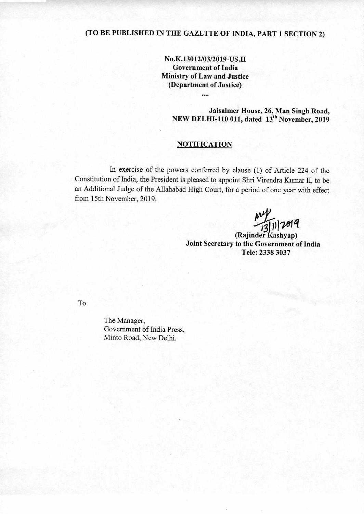## **(TO BE PUBLISHED IN THE GAZETTE OF INDIA, PART 1 SECTION 2)**

**No.K.13012/03/2019-US.II Government of India Ministry of Law and Justice (Department of Justice)** 

....

**Jaisalmer House, 26, Man Singh Road, NEW DELHI-110 011, dated 13<sup>th</sup> November, 2019** 

## **NOTIFICATION**

In exercise of the powers conferred by clause (1) of Article 224 of the Constitution of India, the President is pleased to appoint Shri Virendra Kumar II, to be an Additional Judge of the Allahabad High Court, for a period of one year with effect from 15th November, 2019.

 $\frac{1}{13}$ [1]  $2019$ 

(Rajinder Kashyap) **Joint Secretary to the Government of India Tele: 2338 3037** 

To

The Manager, Government of India Press, Minto Road, New Delhi.